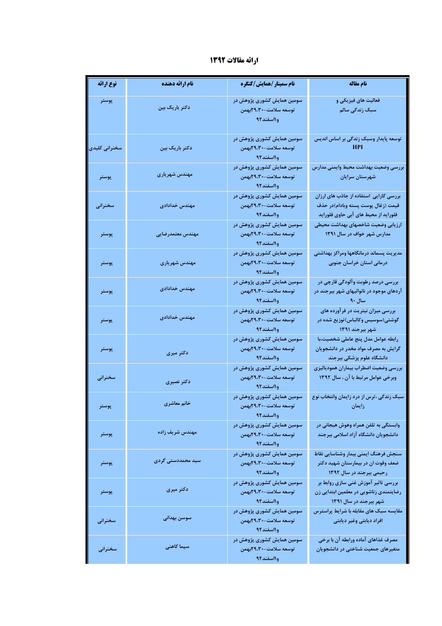## ارائه مقالات 1392

| نوع ارائه     | نام ارائه دهنده   | نام سمینار/همایش/کنگره                                           | نام مقاله                                                                                                            |
|---------------|-------------------|------------------------------------------------------------------|----------------------------------------------------------------------------------------------------------------------|
| پوستر         | دکتر باریک بین    | سومین همایش کشوری پژوهش در<br>توسعه سلامت-۲۹،۳۰بهمن<br>وااسفند92 | فعالیت های فیزیکی و<br>سبک زندگی سالم                                                                                |
| سخنرانی کلیدی | دکتر باریک بین    | سومین همایش کشوری پژوهش در<br>توسعه سلامت-۲۹،۳۰بهمن<br>وااسفند٩٢ | توسعه پایدار وسبک زندگی بر اساس اندیس<br>HPI                                                                         |
| پوستر         | مهندس شهریاری     | سومین همایش کشوری پژوهش در<br>توسعه سلامت-۲۹،۳۰بهمن<br>وااسفند92 | بررسى وضعيت بهداشت محيط وايمنى مدارس<br>شهرستان سرايان                                                               |
| سخنراني       | مهندس خدادادى     | سومین همایش کشوری پژوهش در<br>توسعه سلامت-۲۹،۳۰بهمن<br>وااسفند92 | بررسی کارایی استفاده از جاذب های ارزان<br>قيمت (زغال پوست پسته وبادام)در حذف<br>فلوراید از محیط های آبی حاوی فلوراید |
| پوستر         | مهندس معتمدرضايي  | سومین همایش کشوری پژوهش در<br>توسعه سلامت-۲۹،۳۰بهمن<br>وااسفند٩٢ | ارزيابي وضعيت شاخصهاي بهداشت محيطي<br>مدارس شهر خواف در سال ۱۳۹۱                                                     |
| پوستر         | مهندس شهرياري     | سومین همایش کشوری پژوهش در<br>توسعه سلامت-۲۹،۳۰بهمن<br>وااسفند92 | مديريت پسماند درمانگاهها ومراكز بهداشتى<br>درمانی استان خراسان جنوبی                                                 |
| پوستر         | مهندس خدادادى     | سومین همایش کشوری پژوهش در<br>توسعه سلامت-۲۹،۳۰بهمن<br>وااسفند92 | بررسی درصد رطوبت وآلودگی قارچی در<br>آردهای موجود در نانوائیهای شهر بیرجند در<br>$4 \cdot$ سال                       |
| پوستر         | مهندس خدادادى     | سومین همایش کشوری پژوهش در<br>توسعه سلامت-۲۹،۳۰بهمن<br>وااسفند92 | بررسی میزان نیتریت در فرآورده های<br>گوشتی(سوسیس وکالباس)توزیع شده در<br>شهر بیرجند ۱۳۹۱                             |
| پوستر         | دکتر میری         | سومین همایش کشوری پژوهش در<br>توسعه سلامت-۲۹،۳۰بهمن<br>وااسفند92 | رابطه عوامل مدل پنج عاملی شخصیت،با<br>گرایش به مصرف مواد مخدر در دانشجویان<br>دانشگاه علوم پزشکی بیرجند              |
| سخنرانى       | دكتر نصيرى        | سومین همایش کشوری پژوهش در<br>توسعه سلامت-۲۹،۳۰بهمن<br>وااسفند٩٢ | بررسي وضعيت اضطراب بيماران همودياليزي<br>وبرخی عوامل مرتبط با آن ، سال ۱۳۹۲                                          |
| پوستر         | خانم معاشري       | سومین همایش کشوری پژوهش در<br>توسعه سلامت-۲۹،۳۰بهمن<br>وااسفند92 | سبک زندگی ،ترس از درد زایمان وانتخاب نوع<br>زايمان المستخدمات                                                        |
| پوستر         | مهندس شريف زاده   | سومین همایش کشوری پژوهش در<br>توسعه سلامت-۲۹،۳۰بهمن<br>وااسفند92 | وابستگی به تلفن همراه وهوش هیجانی در<br>دانشجویان دانشگاه آزاد اسلامی بیرجند                                         |
| پوستر         | سید محمددستی گردی | سومین همایش کشوری پژوهش در<br>توسعه سلامت-۲۹،۳۰بهمن<br>وااسفند92 | سنجش فرهنگ ايمنى بيمار وشناسايي نقاط<br>ضعف وقوت ان در بیمارستان شهید دکتر<br>رحیمی بیرجند در سال ۱۳۹۲               |
| پوستر         | دکتر میری         | سومین همایش کشوری پژوهش در<br>توسعه سلامت-۲۹،۳۰بهمن<br>وااسفند92 | بررسی تاثیر آموزش غنی سازی روابط بر<br>رضایتمندی زناشویی در معلمین ابتدایی زن<br>شهر بیرجند در سال ۱۳۹۱              |
| سخنراني       | سوسن بهدانى       | سومین همایش کشوری پژوهش در<br>توسعه سلامت-۲۹،۳۰بهمن<br>وااسفند92 | مقایسه سبک های مقابله با شرایط پراسترس<br>افراد ديابتي وغير ديابتي                                                   |
| سخنراني       | سیما کاهنی        | سومین همایش کشوری پژوهش در<br>توسعه سلامت-۲۹،۳۰بهمن<br>وااسفند92 | مصرف غذاهای آماده ورابطه آن با برخی<br>متغیرهای جمعیت شناختی در دانشجویان                                            |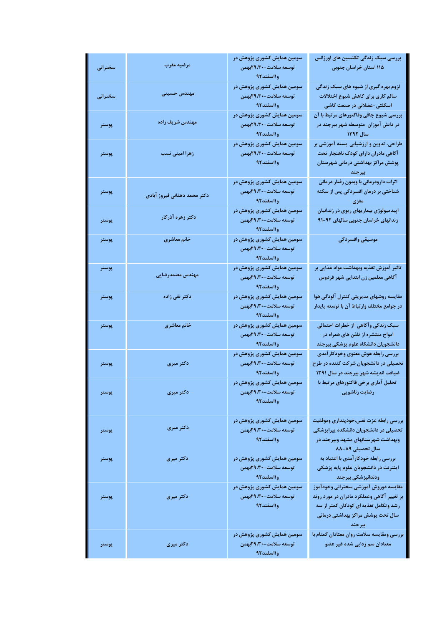| سخنراني | مرضيه مقرب                   | سومین همایش کشوری پژوهش در<br>توسعه سلامت-۲۹،۳۰بهمن<br>وااسفند92   | بررسی سبک زندگی تکنسین های اورژانس<br>۱۱۵ استان خراسان جنوبی                                                                                                                          |
|---------|------------------------------|--------------------------------------------------------------------|---------------------------------------------------------------------------------------------------------------------------------------------------------------------------------------|
| سخنراني | مهندس حسينى                  | سومین همایش کشوری پژوهش در<br>توسعه سلامت-۲۹،۳۰بهمن<br>وااسفند٩٢   | لزوم بهره گیری از شیوه های سبک زندگی<br>سالم کاری برای کاهش شیوع اختلالات<br>اسکلتی-عضلانی در صنعت کاشی                                                                               |
| پوستر   | مهندس شريف زاده              | سومین همایش کشوری پژوهش در<br>توسعه سلامت-۲۹،۳۰بهمن<br>وااسفند٩٢   | بررسی شیوع چاقی وفاکتورهای مرتبط با آن<br>در دانش آموزان متوسطه شهر بیرجند در<br>المسائل ۱۳۹۲ - المسائل المسائل المسائل المسائل المسائل المسائل المسائل المسائل المسائل المسائل المسا |
| پوستر   | زهرا امینی نسب               | سومین همایش کشوری پژوهش در<br>توسعه سلامت-۲۹،۳۰بهمن<br>وااسفند٩٢   | طراحی، تدوین و ارزشیابی بسته آموزشی بر<br>آگاهی مادران دارای کودک ناهنجار تحت<br>پوشش مراکز بهداشتی درمانی شهرستان<br>يرجند                                                           |
| پوستر   | دكتر محمد دهقانى فيروز آبادى | سومین همایش کشوری پژوهش در<br>توسعه سلامت-۲۹،۳۰بهمن<br>وااسفند٩٢   | اثرات دارودرمانی با وبدون رفتار درمانی<br>شناختی بر درمان افسردگی پس از سکته<br>مغزی                                                                                                  |
| پوستر   | دكتر زهره آذركار             | سومین همایش کشوری پژوهش در<br>توسعه سلامت-۲۹،۳۰بهمن<br>وااسفند٩٢   | اپیدمیولوژی بیماریهای ریوی در زندانیان<br>زندانهای خراسان جنوبی سالهای ۹۲-۹۱                                                                                                          |
| پوستر   | خانم معاشري                  | سومین همایش کشوری پژوهش در<br>توسعه سلامت-۲۹،۳۰بهمن<br>وااسفند٩٢   | موسيقى وافسردگى                                                                                                                                                                       |
| پوستر   | مهندس معتمدرضايي             | سومین همایش کشوری پژوهش در<br>توسعه سلامت-۲۹،۳۰بهمن<br>وااسفند92   | تاثیر آموزش تغذیه وبهداشت مواد غذایی بر<br>آگاهی معلمین زن ابتدایی شهر فردوس                                                                                                          |
| پوستر   | دکتر نقی زاده                | سومین همایش کشوری پژوهش در<br>توسعه سلامت-۲۹،۳۰بهمن<br>وااسفند٩٢   | مقایسه روشهای مدیریتی کنترل آلودگی هوا<br>در جوامع مختلف وارتباط آن با توسعه پایدار                                                                                                   |
| پوستر   | خانم معاشري                  | سومین همایش کشوری پژوهش در<br>توسعه سلامت-۲۹،۳۰بهمن<br>و ۱۱ سفند۹۲ | سبک زندگی وآگاهی از خطرات احتمالی<br>امواج منتشره از تلفن های همراه در<br>دانشجویان دانشگاه علوم پزشکی بیرجند                                                                         |
| پوستر   | دکتر میری                    | سومین همایش کشوری پژوهش در<br>توسعه سلامت-۲۹،۳۰بهمن<br>و ۱۱ سفند۹۲ | بررسي رابطه هوش معنوي وخودكارآمدي<br>تحصیلی در دانشجویان شرکت کننده در طرح<br>ضیافت اندیشه شهر بیرجند در سال ١٣٩١                                                                     |
| پوستر   | دکتر میری                    | سومین همایش کشوری پژوهش در<br>توسعه سلامت-۲۹،۳۰بهمن<br>وااسفند9٢   | تحلیل آماری برخی فاکتورهای مرتبط با<br>رضايت زناشويي                                                                                                                                  |
| پوستر   | دکتر میری                    | سومین همایش کشوری پژوهش در<br>توسعه سلامت-۲۹،۳۰بهمن<br>وااسفند92   | بررسي رابطه عزت نفس،خودپنداری وموفقیت<br>تحصیلی در دانشجویان دانشکده پیراپزشکی<br>وبهداشت شهرستانهای مشهد وبیرجند در<br>سال تحصیلی ۸۹-۸۸                                              |
| پوستر   | دکتر میری                    | سومین همایش کشوری پژوهش در<br>توسعه سلامت-۲۹،۳۰بهمن<br>وااسفند92   | بررسی رابطه خودکار آمدی با اعتیاد به<br>اینترنت در دانشجویان علوم پایه پزشکی<br>ودندانپزشکی بیرجند                                                                                    |
| پوستر   | دکتر میری                    | سومین همایش کشوری پژوهش در<br>توسعه سلامت-۲۹،۳۰بهمن<br>وااسفند92   | مقايسه دوروش آموزشي سخنراني وخودآموز<br>بر تغییر آگاهی وعملکرد مادران در مورد روند<br>رشد وتکامل تغذیه ای کودکان کمتر از سه<br>سال تحت پوشش مراکز بهداشتی درمانی<br>بيرجند            |
| پوستر   | دکتر میری                    | سومین همایش کشوری پژوهش در<br>توسعه سلامت-۲۹،۳۰بهمن<br>وااسفند92   | بررسی ومقایسه سلامت روان معتادان گمنام با<br>معتادان سم زدایی شده غیر عضو                                                                                                             |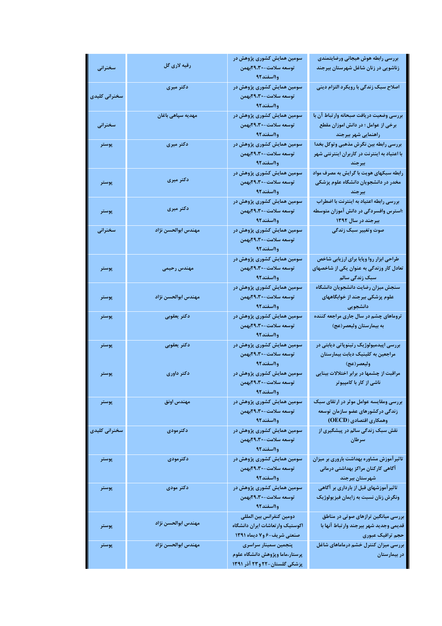|               | رقيه لاری گل        | سومین همایش کشوری پژوهش در                                                                | بررسى رابطه هوش هيجانى ورضايتمندى                                                                      |
|---------------|---------------------|-------------------------------------------------------------------------------------------|--------------------------------------------------------------------------------------------------------|
| سخنرانى       |                     | توسعه سلامت-۲۹،۳۰بهمن<br>وااسفند92                                                        | زناشویی در زنان شاغل شهرستان بیرجند                                                                    |
| سخنرانی کلیدی | دکتر میری           | سومین همایش کشوری پژوهش در<br>توسعه سلامت-۲۹،۳۰بهمن<br>وااسفند٩٢                          | اصلاح سبک زندگی با رویکرد التزام دینی                                                                  |
| سخنراني       | مهدیه سپاهی باغان   | سومین همایش کشوری پژوهش در<br>توسعه سلامت-۲۹،۳۰بهمن<br>وااسفند٩٢                          | بررسی وضعیت دریافت صبحانه وارتباط آن با<br>برخی از عوامل ؛ در دانش اموزان مقطع<br>راهنمایی شهر بیرجند  |
| پوستر         | دکتر میری           | سومین همایش کشوری پژوهش در<br>توسعه سلامت-۲۹،۳۰بهمن<br>وااسفند٩٢                          | بررسی رابطه بین نگرش مذهبی وتوکل بخدا<br>با اعتیاد به اینترنت در کاربران اینترنتی شهر<br>بيرجند        |
| پوستر         | دکتر میری           | سومین همایش کشوری پژوهش در<br>توسعه سلامت-۲۹،۳۰بهمن<br>وااسفند92                          | رابطه سبکهای هویت با گرایش به مصرف مواد<br>مخدر در دانشجویان دانشگاه علوم پزشکی<br>بيرجند              |
| پوستر         | دکتر میری           | سومین همایش کشوری پژوهش در<br>توسعه سلامت-۲۹،۳۰بهمن<br>وااسفند٩٢                          | بررسی رابطه اعتیاد به اینترنت با اضطراب<br>؛استرس وافسردگی در دانش آموزان متوسطه<br>بیرجند در سال ۱۳۹۲ |
| سخنرانى       | مهندس ابوالحسن نژاد | سومین همایش کشوری پژوهش در<br>توسعه سلامت-۲۹،۳۰بهمن<br>وااسفند92                          | صوت وتغيير سبک زندگي                                                                                   |
| پوستر         | مهندس رحيمى         | سومین همایش کشوری پژوهش در<br>توسعه سلامت-۲۹،۳۰بهمن<br>وااسفند92                          | طراحی ابزار روا وپایا برای ارزیابی شاخص<br>تعادل کار وزندگی به عنوان یکی از شاخصهای<br>سبک زندگی سالم  |
| پوستر         | مهندس ابوالحسن نژاد | سومین همایش کشوری پژوهش در<br>توسعه سلامت-۲۹،۳۰بهمن<br>وااسفند92                          | سنجش ميزان رضايت دانشجويان دانشگاه<br>علوم پزشکی بیرجند از خوابگاههای<br>دانشجويي                      |
| پوستر         | دكتر يعقوبى         | سومین همایش کشوری پژوهش در<br>توسعه سلامت-۲۹،۳۰بهمن<br>وااسفند92                          | تروماهای چشم در سال جاری مراجعه کننده<br>به بیمارستان ولیعصر(عج)                                       |
| پوستر         | دكتر يعقوبي         | سومین همایش کشوری پژوهش در<br>توسعه سلامت-۲۹،۳۰بهمن<br>و ۱۱سفند۹۲                         | بررسی اپیدمیولوژیک رتینوپاتی دیابتی در<br>مراجعین به کلینیک دیابت بیمارستان<br>وليعصر(عج)              |
| پوستر         | دکتر داوری          | سومین همایش کشوری پژوهش در<br>توسعه سلامت-۲۹،۳۰بهمن<br>وااسفند92                          | مراقبت از چشمها در برابر اختلالات بینایی<br>ناشی از کار با کامپیوتر                                    |
| پوستر         | مهندس اونق          | سومین همایش کشوری پژوهش در<br>توسعه سلامت-۲۹،۳۰بهمن<br>وااسفند92                          | بررسی ومقایسه عوامل موثر در ارتقای سبک<br>زندگی در کشورهای عضو سازمان توسعه<br>وهمكاري اقتصادي (OECD)  |
| سخنرانی کلیدی | دكترمودى            | سومین همایش کشوری پژوهش در<br>توسعه سلامت-۲۹،۳۰بهمن<br>وااسفند92                          | نقش سبک زندگی سالم در پیشگیری از<br>سرطان                                                              |
| پوستر         | دكترمودى            | سومین همایش کشوری پژوهش در<br>توسعه سلامت-۲۹،۳۰بهمن<br>وااسفند92                          | تاثیر آموزش مشاوره بهداشت باروری بر میزان<br>آگاهی کارکنان مراکز بهداشتی درمانی<br>شهرستان بيرجند      |
| پوستر         | دكتر مودى           | سومین همایش کشوری پژوهش در<br>توسعه سلامت-۲۹،۳۰بهمن<br>وااسفند92                          | تاثیر آموزشهای قبل از بارداری بر آگاهی<br>ونگرش زنان نسبت به زایمان فیزیولوژیک                         |
| پوستر         | مهندس ابوالحسن نژاد | دومين كنفرانس بين المللى<br>اكوستيك وارتعاشات ايران دانشگاه<br>صنعتی شریف-۶ و۷ دیماه ۱۳۹۱ | بررسی میانگین ترازهای صوتی در مناطق<br>قديمي وجديد شهر بيرجند وارتباط آنها با<br>حجم ترافیک عبوری      |
| پوستر         | مهندس ابوالحسن نژاد | پنجمین سمینار سراسری<br>پرستار،ماما وپژوهش دانشگاه علوم<br>پزشکی گلستان-۲۲ و۲۳ آذر ۱۳۹۱   | بررسی میزان کنترل خشم درماماهای شاغل<br>در بیمارستان                                                   |